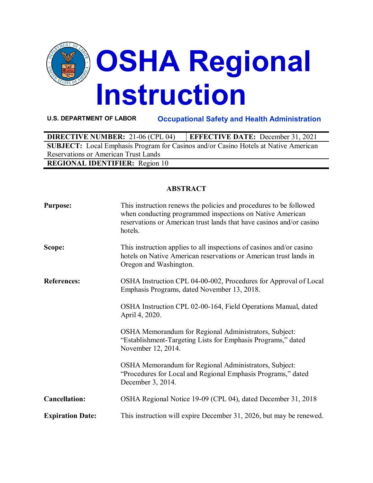

**U.S. DEPARTMENT OF LABOR Occupational Safety and Health Administration**

| <b>DIRECTIVE NUMBER: 21-06 (CPL 04)</b>                                                    | <b>EFFECTIVE DATE:</b> December 31, 2021 |  |  |  |
|--------------------------------------------------------------------------------------------|------------------------------------------|--|--|--|
| <b>SUBJECT:</b> Local Emphasis Program for Casinos and/or Casino Hotels at Native American |                                          |  |  |  |
| Reservations or American Trust Lands                                                       |                                          |  |  |  |
| <b>REGIONAL IDENTIFIER:</b> Region 10                                                      |                                          |  |  |  |

# **ABSTRACT**

| <b>Purpose:</b>         | This instruction renews the policies and procedures to be followed<br>when conducting programmed inspections on Native American<br>reservations or American trust lands that have casinos and/or casino<br>hotels. |
|-------------------------|--------------------------------------------------------------------------------------------------------------------------------------------------------------------------------------------------------------------|
| Scope:                  | This instruction applies to all inspections of casinos and/or casino<br>hotels on Native American reservations or American trust lands in<br>Oregon and Washington.                                                |
| <b>References:</b>      | OSHA Instruction CPL 04-00-002, Procedures for Approval of Local<br>Emphasis Programs, dated November 13, 2018.                                                                                                    |
|                         | OSHA Instruction CPL 02-00-164, Field Operations Manual, dated<br>April 4, 2020.                                                                                                                                   |
|                         | OSHA Memorandum for Regional Administrators, Subject:<br>"Establishment-Targeting Lists for Emphasis Programs," dated<br>November 12, 2014.                                                                        |
|                         | OSHA Memorandum for Regional Administrators, Subject:<br>"Procedures for Local and Regional Emphasis Programs," dated<br>December 3, 2014.                                                                         |
| <b>Cancellation:</b>    | OSHA Regional Notice 19-09 (CPL 04), dated December 31, 2018                                                                                                                                                       |
| <b>Expiration Date:</b> | This instruction will expire December 31, 2026, but may be renewed.                                                                                                                                                |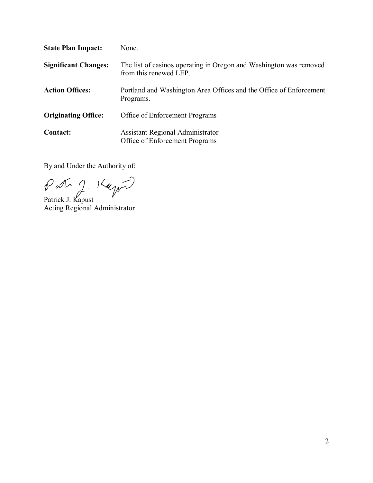| <b>State Plan Impact:</b>   | None.                                                                                        |
|-----------------------------|----------------------------------------------------------------------------------------------|
| <b>Significant Changes:</b> | The list of casinos operating in Oregon and Washington was removed<br>from this renewed LEP. |
| <b>Action Offices:</b>      | Portland and Washington Area Offices and the Office of Enforcement<br>Programs.              |
| <b>Originating Office:</b>  | Office of Enforcement Programs                                                               |
| <b>Contact:</b>             | <b>Assistant Regional Administrator</b><br>Office of Enforcement Programs                    |

By and Under the Authority of:

Patrick J. Kapust Acting Regional Administrator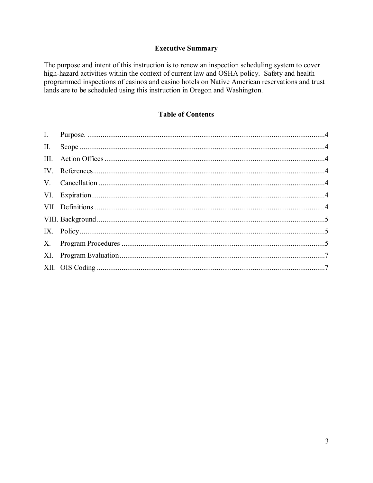### **Executive Summary**

The purpose and intent of this instruction is to renew an inspection scheduling system to cover high-hazard activities within the context of current law and OSHA policy. Safety and health programmed inspections of casinos and casino hotels on Native American reservations and trust lands are to be scheduled using this instruction in Oregon and Washington.

# **Table of Contents**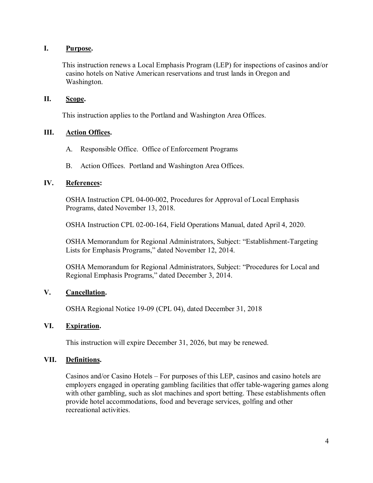### <span id="page-3-0"></span>**I. Purpose.**

This instruction renews a Local Emphasis Program (LEP) for inspections of casinos and/or casino hotels on Native American reservations and trust lands in Oregon and Washington.

#### <span id="page-3-1"></span>**II. Scope.**

This instruction applies to the Portland and Washington Area Offices.

### <span id="page-3-2"></span>**III. Action Offices.**

- A. Responsible Office. Office of Enforcement Programs
- B. Action Offices. Portland and Washington Area Offices.

### <span id="page-3-3"></span>**IV. References:**

 OSHA Instruction CPL 04-00-002, Procedures for Approval of Local Emphasis Programs, dated November 13, 2018.

OSHA Instruction CPL 02-00-164, Field Operations Manual, dated April 4, 2020.

OSHA Memorandum for Regional Administrators, Subject: "Establishment-Targeting Lists for Emphasis Programs," dated November 12, 2014.

OSHA Memorandum for Regional Administrators, Subject: "Procedures for Local and Regional Emphasis Programs," dated December 3, 2014.

## <span id="page-3-4"></span>**V. Cancellation.**

OSHA Regional Notice 19-09 (CPL 04), dated December 31, 2018

## <span id="page-3-5"></span>**VI. Expiration.**

This instruction will expire December 31, 2026, but may be renewed.

#### <span id="page-3-6"></span>**VII. Definitions.**

Casinos and/or Casino Hotels – For purposes of this LEP, casinos and casino hotels are employers engaged in operating gambling facilities that offer table-wagering games along with other gambling, such as slot machines and sport betting. These establishments often provide hotel accommodations, food and beverage services, golfing and other recreational activities.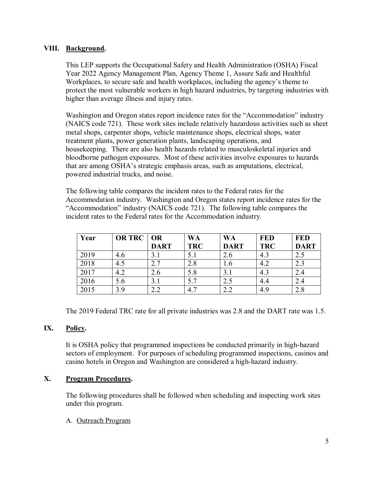## <span id="page-4-0"></span>**VIII. Background.**

This LEP supports the Occupational Safety and Health Administration (OSHA) Fiscal Year 2022 Agency Management Plan, Agency Theme 1, Assure Safe and Healthful Workplaces, to secure safe and health workplaces, including the agency's theme to protect the most vulnerable workers in high hazard industries, by targeting industries with higher than average illness and injury rates.

Washington and Oregon states report incidence rates for the "Accommodation" industry (NAICS code 721). These work sites include relatively hazardous activities such as sheet metal shops, carpenter shops, vehicle maintenance shops, electrical shops, water treatment plants, power generation plants, landscaping operations, and housekeeping. There are also health hazards related to musculoskeletal injuries and bloodborne pathogen exposures. Most of these activities involve exposures to hazards that are among OSHA's strategic emphasis areas, such as amputations, electrical, powered industrial trucks, and noise.

The following table compares the incident rates to the Federal rates for the Accommodation industry. Washington and Oregon states report incidence rates for the "Accommodation" industry (NAICS code 721). The following table compares the incident rates to the Federal rates for the Accommodation industry.

| Year | OR TRC   OR | <b>DART</b> | <b>WA</b><br><b>TRC</b> | <b>WA</b><br><b>DART</b> | <b>FED</b><br><b>TRC</b> | <b>FED</b><br><b>DART</b> |
|------|-------------|-------------|-------------------------|--------------------------|--------------------------|---------------------------|
| 2019 | 4.6         | 3.1         | 5.1                     | 2.6                      | 4.3                      | 2.5                       |
| 2018 | 4.5         | 2.7         | 2.8                     | 1.6                      | 4.2                      | 2.3                       |
| 2017 | 4.2         | 2.6         | 5.8                     | 3.1                      | 4.3                      | 2.4                       |
| 2016 | 5.6         | 3.1         | 5.7                     | 2.5                      | 4.4                      | 2.4                       |
| 2015 | 3.9         | 2.2         | 4.7                     | 2.2                      | 4.9                      | 2.8                       |

The 2019 Federal TRC rate for all private industries was 2.8 and the DART rate was 1.5.

#### <span id="page-4-1"></span>**IX. Policy.**

It is OSHA policy that programmed inspections be conducted primarily in high-hazard sectors of employment. For purposes of scheduling programmed inspections, casinos and casino hotels in Oregon and Washington are considered a high-hazard industry.

## <span id="page-4-2"></span>**X. Program Procedures.**

The following procedures shall be followed when scheduling and inspecting work sites under this program.

#### A. Outreach Program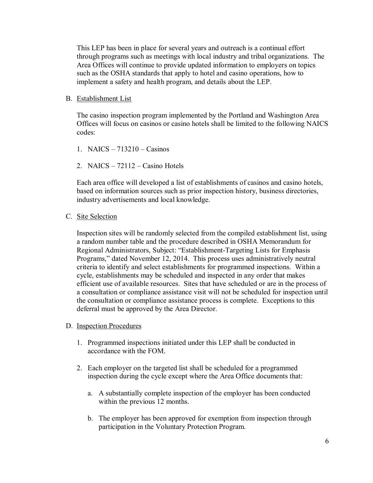This LEP has been in place for several years and outreach is a continual effort through programs such as meetings with local industry and tribal organizations. The Area Offices will continue to provide updated information to employers on topics such as the OSHA standards that apply to hotel and casino operations, how to implement a safety and health program, and details about the LEP.

#### B. Establishment List

The casino inspection program implemented by the Portland and Washington Area Offices will focus on casinos or casino hotels shall be limited to the following NAICS codes:

- 1. NAICS 713210 Casinos
- 2. NAICS 72112 Casino Hotels

Each area office will developed a list of establishments of casinos and casino hotels, based on information sources such as prior inspection history, business directories, industry advertisements and local knowledge.

C. Site Selection

Inspection sites will be randomly selected from the compiled establishment list, using a random number table and the procedure described in OSHA Memorandum for Regional Administrators, Subject: "Establishment-Targeting Lists for Emphasis Programs," dated November 12, 2014. This process uses administratively neutral criteria to identify and select establishments for programmed inspections. Within a cycle, establishments may be scheduled and inspected in any order that makes efficient use of available resources. Sites that have scheduled or are in the process of a consultation or compliance assistance visit will not be scheduled for inspection until the consultation or compliance assistance process is complete. Exceptions to this deferral must be approved by the Area Director.

- D. Inspection Procedures
	- 1. Programmed inspections initiated under this LEP shall be conducted in accordance with the FOM.
	- 2. Each employer on the targeted list shall be scheduled for a programmed inspection during the cycle except where the Area Office documents that:
		- a. A substantially complete inspection of the employer has been conducted within the previous 12 months.
		- b. The employer has been approved for exemption from inspection through participation in the Voluntary Protection Program.